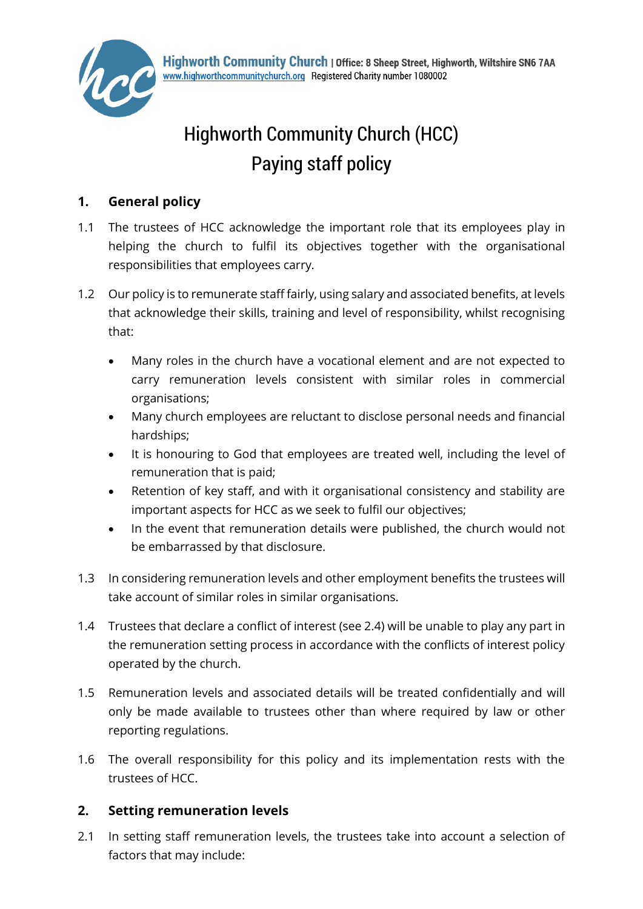

# Highworth Community Church (HCC) Paying staff policy

# **1. General policy**

- 1.1 The trustees of HCC acknowledge the important role that its employees play in helping the church to fulfil its objectives together with the organisational responsibilities that employees carry.
- 1.2 Our policy is to remunerate staff fairly, using salary and associated benefits, at levels that acknowledge their skills, training and level of responsibility, whilst recognising that:
	- Many roles in the church have a vocational element and are not expected to carry remuneration levels consistent with similar roles in commercial organisations;
	- Many church employees are reluctant to disclose personal needs and financial hardships;
	- It is honouring to God that employees are treated well, including the level of remuneration that is paid;
	- Retention of key staff, and with it organisational consistency and stability are important aspects for HCC as we seek to fulfil our objectives;
	- In the event that remuneration details were published, the church would not be embarrassed by that disclosure.
- 1.3 In considering remuneration levels and other employment benefits the trustees will take account of similar roles in similar organisations.
- 1.4 Trustees that declare a conflict of interest (see 2.4) will be unable to play any part in the remuneration setting process in accordance with the conflicts of interest policy operated by the church.
- 1.5 Remuneration levels and associated details will be treated confidentially and will only be made available to trustees other than where required by law or other reporting regulations.
- 1.6 The overall responsibility for this policy and its implementation rests with the trustees of HCC.

# **2. Setting remuneration levels**

2.1 In setting staff remuneration levels, the trustees take into account a selection of factors that may include: